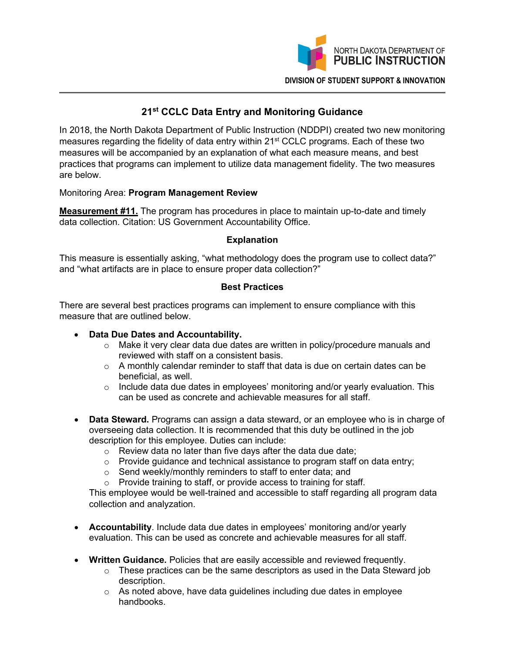

# **21st CCLC Data Entry and Monitoring Guidance**

In 2018, the North Dakota Department of Public Instruction (NDDPI) created two new monitoring measures regarding the fidelity of data entry within 21<sup>st</sup> CCLC programs. Each of these two measures will be accompanied by an explanation of what each measure means, and best practices that programs can implement to utilize data management fidelity. The two measures are below.

## Monitoring Area: **Program Management Review**

**Measurement #11.** The program has procedures in place to maintain up-to-date and timely data collection. Citation: US Government Accountability Office.

## **Explanation**

This measure is essentially asking, "what methodology does the program use to collect data?" and "what artifacts are in place to ensure proper data collection?"

## **Best Practices**

There are several best practices programs can implement to ensure compliance with this measure that are outlined below.

## • **Data Due Dates and Accountability.**

- o Make it very clear data due dates are written in policy/procedure manuals and reviewed with staff on a consistent basis.
- $\circ$  A monthly calendar reminder to staff that data is due on certain dates can be beneficial, as well.
- $\circ$  Include data due dates in employees' monitoring and/or yearly evaluation. This can be used as concrete and achievable measures for all staff.
- **Data Steward.** Programs can assign a data steward, or an employee who is in charge of overseeing data collection. It is recommended that this duty be outlined in the job description for this employee. Duties can include:
	- $\circ$  Review data no later than five days after the data due date:
	- $\circ$  Provide guidance and technical assistance to program staff on data entry;
	- o Send weekly/monthly reminders to staff to enter data; and
	- o Provide training to staff, or provide access to training for staff.

This employee would be well-trained and accessible to staff regarding all program data collection and analyzation.

- **Accountability**. Include data due dates in employees' monitoring and/or yearly evaluation. This can be used as concrete and achievable measures for all staff.
- **Written Guidance.** Policies that are easily accessible and reviewed frequently.
	- $\circ$  These practices can be the same descriptors as used in the Data Steward job description.
	- o As noted above, have data guidelines including due dates in employee handbooks.